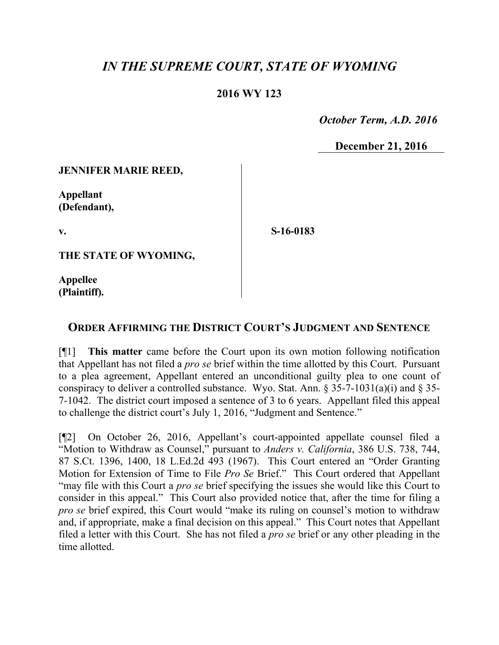## *IN THE SUPREME COURT, STATE OF WYOMING*

## **2016 WY 123**

 *October Term, A.D. 2016*

**December 21, 2016**

**JENNIFER MARIE REED,**

**Appellant (Defendant),**

**v.**

**S-16-0183**

**THE STATE OF WYOMING,**

**Appellee (Plaintiff).**

## **ORDER AFFIRMING THE DISTRICT COURT'S JUDGMENT AND SENTENCE**

[¶1] **This matter** came before the Court upon its own motion following notification that Appellant has not filed a *pro se* brief within the time allotted by this Court. Pursuant to a plea agreement, Appellant entered an unconditional guilty plea to one count of conspiracy to deliver a controlled substance. Wyo. Stat. Ann. § 35-7-1031(a)(i) and § 35- 7-1042. The district court imposed a sentence of 3 to 6 years. Appellant filed this appeal to challenge the district court's July 1, 2016, "Judgment and Sentence."

[¶2] On October 26, 2016, Appellant's court-appointed appellate counsel filed a "Motion to Withdraw as Counsel," pursuant to *Anders v. California*, 386 U.S. 738, 744, 87 S.Ct. 1396, 1400, 18 L.Ed.2d 493 (1967). This Court entered an "Order Granting Motion for Extension of Time to File *Pro Se* Brief." This Court ordered that Appellant "may file with this Court a *pro se* brief specifying the issues she would like this Court to consider in this appeal." This Court also provided notice that, after the time for filing a *pro se* brief expired, this Court would "make its ruling on counsel's motion to withdraw and, if appropriate, make a final decision on this appeal." This Court notes that Appellant filed a letter with this Court. She has not filed a *pro se* brief or any other pleading in the time allotted.